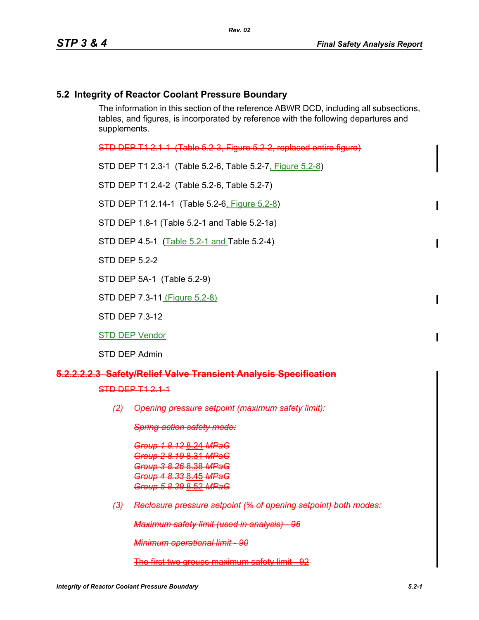# **5.2 Integrity of Reactor Coolant Pressure Boundary**

The information in this section of the reference ABWR DCD, including all subsections, tables, and figures, is incorporated by reference with the following departures and supplements.

STD DEP T1 2.1-1 (Table 5.2-3, Figure 5.2-2, replaced entire figure)

STD DEP T1 2.3-1 (Table 5.2-6, Table 5.2-7, Figure 5.2-8)

STD DEP T1 2.4-2 (Table 5.2-6, Table 5.2-7)

STD DEP T1 2.14-1 (Table 5.2-6, Figure 5.2-8)

STD DEP 1.8-1 (Table 5.2-1 and Table 5.2-1a)

STD DEP 4.5-1 (Table 5.2-1 and Table 5.2-4)

STD DFP 5 2-2

STD DEP 5A-1 (Table 5.2-9)

STD DEP 7.3-11 (Figure 5.2-8)

STD DEP 7.3-12

STD DEP Vendor

STD DEP Admin

#### **5.2.2.2.2.3 Safety/Relief Valve Transient Analysis Specification**

STD DEP T1 2.1-1

*(2) Opening pressure setpoint (maximum safety limit):*

*Spring-action safety mode:*

*Group 1 8.12* 8.24 *MPaG Group 2 8.19* 8.31 *MPaG Group 3 8.26* 8.38 *MPaG Group 4 8.33* 8.45 *MPaG Group 5 8.39* 8.52 *MPaG*

*(3) Reclosure pressure setpoint (% of opening setpoint) both modes:*

*Maximum safety limit (used in analysis) - 96*

*Minimum operational limit - 90*

The first two groups maximum safety limit - 92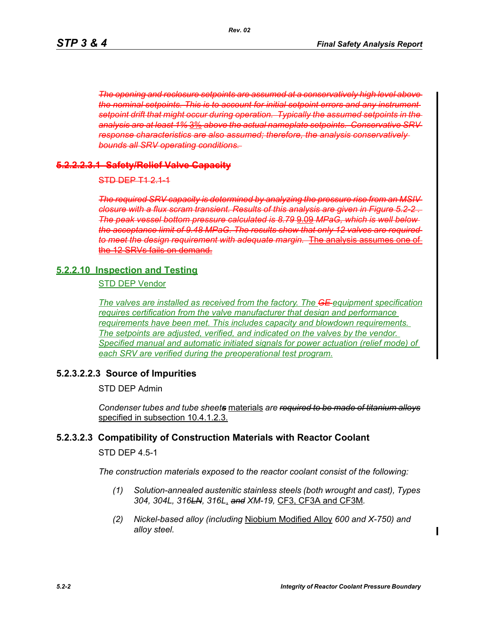*The opening and reclosure setpoints are assumed at a conservatively high level above the nominal setpoints. This is to account for initial setpoint errors and any instrument setpoint drift that might occur during operation. Typically the assumed setpoints in the analysis are at least 1%* 3% *above the actual nameplate setpoints. Conservative SRV response characteristics are also assumed; therefore, the analysis conservatively bounds all SRV operating conditions.* 

#### **5.2.2.2.3.1 Safety/Relief Valve Capacity**

 $STD DEP$   $T1$  2.1-1

*The required SRV capacity is determined by analyzing the pressure rise from an MSIV closure with a flux scram transient. Results of this analysis are given in Figure 5.2-2 . The peak vessel bottom pressure calculated is 8.79* 9.09 *MPaG, which is well below the acceptance limit of 9.48 MPaG. The results show that only 12 valves are required to meet the design requirement with adequate margin.* The analysis assumes one the 12 SRVs fails on demand.

### **5.2.2.10 Inspection and Testing**

STD DEP Vendor

*The valves are installed as received from the factory. The GE equipment specification requires certification from the valve manufacturer that design and performance requirements have been met. This includes capacity and blowdown requirements. The setpoints are adjusted, verified, and indicated on the valves by the vendor. Specified manual and automatic initiated signals for power actuation (relief mode) of each SRV are verified during the preoperational test program.*

# **5.2.3.2.2.3 Source of Impurities**

STD DEP Admin

*Condenser tubes and tube sheets* materials *are required to be made of titanium alloys* specified in subsection 10.4.1.2.3.

# **5.2.3.2.3 Compatibility of Construction Materials with Reactor Coolant**

STD DEP 4.5-1

*The construction materials exposed to the reactor coolant consist of the following:*

- *(1) Solution-annealed austenitic stainless steels (both wrought and cast), Types 304, 304L, 316LN, 316L*, *and XM-19,* CF3, CF3A and CF3M*.*
- *(2) Nickel-based alloy (including* Niobium Modified Alloy *600 and X-750) and alloy steel.*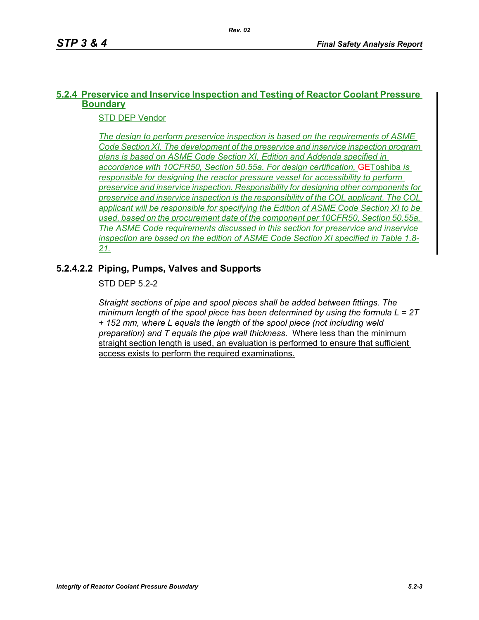# **5.2.4 Preservice and Inservice Inspection and Testing of Reactor Coolant Pressure Boundary**

STD DEP Vendor

*The design to perform preservice inspection is based on the requirements of ASME Code Section XI. The development of the preservice and inservice inspection program plans is based on ASME Code Section XI, Edition and Addenda specified in accordance with 10CFR50, Section 50.55a. For design certification,* GEToshiba *is responsible for designing the reactor pressure vessel for accessibility to perform preservice and inservice inspection. Responsibility for designing other components for preservice and inservice inspection is the responsibility of the COL applicant. The COL applicant will be responsible for specifying the Edition of ASME Code Section XI to be used, based on the procurement date of the component per 10CFR50, Section 50.55a. The ASME Code requirements discussed in this section for preservice and inservice inspection are based on the edition of ASME Code Section XI specified in Table 1.8- 21.*

# **5.2.4.2.2 Piping, Pumps, Valves and Supports**

STD DFP 5 2-2

*Straight sections of pipe and spool pieces shall be added between fittings. The minimum length of the spool piece has been determined by using the formula L = 2T + 152 mm, where L equals the length of the spool piece (not including weld preparation) and T equals the pipe wall thickness.* Where less than the minimum straight section length is used, an evaluation is performed to ensure that sufficient access exists to perform the required examinations.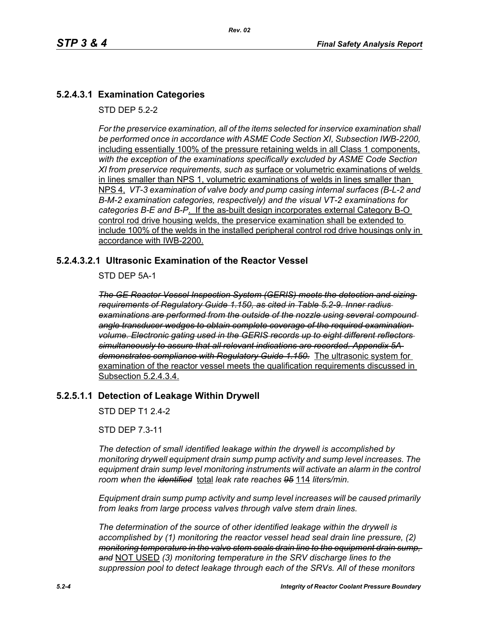# **5.2.4.3.1 Examination Categories**

STD DFP 5 2-2

*For the preservice examination, all of the items selected for inservice examination shall*  be performed once in accordance with ASME Code Section XI, Subsection IWB-2200, including essentially 100% of the pressure retaining welds in all Class 1 components, *with the exception of the examinations specifically excluded by ASME Code Section XI from preservice requirements, such as* surface or volumetric examinations of welds in lines smaller than NPS 1, volumetric examinations of welds in lines smaller than NPS 4, *VT-3 examination of valve body and pump casing internal surfaces (B-L-2 and B-M-2 examination categories, respectively) and the visual VT-2 examinations for categories B-E and B-P*. If the as-built design incorporates external Category B-O control rod drive housing welds, the preservice examination shall be extended to include 100% of the welds in the installed peripheral control rod drive housings only in accordance with IWB-2200.

### **5.2.4.3.2.1 Ultrasonic Examination of the Reactor Vessel**

STD DEP 5A-1

*The GE Reactor Vessel Inspection System (GERIS) meets the detection and sizing requirements of Regulatory Guide 1.150, as cited in Table 5.2-9. Inner radius examinations are performed from the outside of the nozzle using several compound angle transducer wedges to obtain complete coverage of the required examination volume. Electronic gating used in the GERIS records up to eight different reflectors simultaneously to assure that all relevant indications are recorded. Appendix 5A demonstrates compliance with Regulatory Guide 1.150.* The ultrasonic system for examination of the reactor vessel meets the qualification requirements discussed in Subsection 5.2.4.3.4.

#### **5.2.5.1.1 Detection of Leakage Within Drywell**

STD DEP T1 2.4-2

STD DEP 7.3-11

*The detection of small identified leakage within the drywell is accomplished by monitoring drywell equipment drain sump pump activity and sump level increases. The equipment drain sump level monitoring instruments will activate an alarm in the control room when the identified* total *leak rate reaches 95* 114 *liters/min.*

*Equipment drain sump pump activity and sump level increases will be caused primarily from leaks from large process valves through valve stem drain lines.*

*The determination of the source of other identified leakage within the drywell is accomplished by (1) monitoring the reactor vessel head seal drain line pressure, (2) monitoring temperature in the valve stem seals drain line to the equipment drain sump, and* NOT USED *(3) monitoring temperature in the SRV discharge lines to the suppression pool to detect leakage through each of the SRVs. All of these monitors*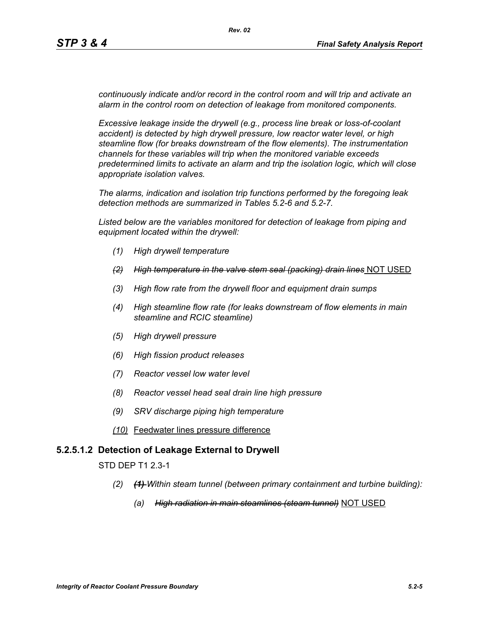*continuously indicate and/or record in the control room and will trip and activate an alarm in the control room on detection of leakage from monitored components.* 

*Excessive leakage inside the drywell (e.g., process line break or loss-of-coolant accident) is detected by high drywell pressure, low reactor water level, or high steamline flow (for breaks downstream of the flow elements). The instrumentation channels for these variables will trip when the monitored variable exceeds predetermined limits to activate an alarm and trip the isolation logic, which will close appropriate isolation valves.*

*The alarms, indication and isolation trip functions performed by the foregoing leak detection methods are summarized in Tables 5.2-6 and 5.2-7.*

*Listed below are the variables monitored for detection of leakage from piping and equipment located within the drywell:*

- *(1) High drywell temperature*
- *(2) High temperature in the valve stem seal (packing) drain lines* NOT USED
- *(3) High flow rate from the drywell floor and equipment drain sumps*
- *(4) High steamline flow rate (for leaks downstream of flow elements in main steamline and RCIC steamline)*
- *(5) High drywell pressure*
- *(6) High fission product releases*
- *(7) Reactor vessel low water level*
- *(8) Reactor vessel head seal drain line high pressure*
- *(9) SRV discharge piping high temperature*
- *(10)* Feedwater lines pressure difference

#### **5.2.5.1.2 Detection of Leakage External to Drywell**

STD DEP T1 2.3-1

- *(2) (1) Within steam tunnel (between primary containment and turbine building):*
	- *(a) High radiation in main steamlines (steam tunnel)* NOT USED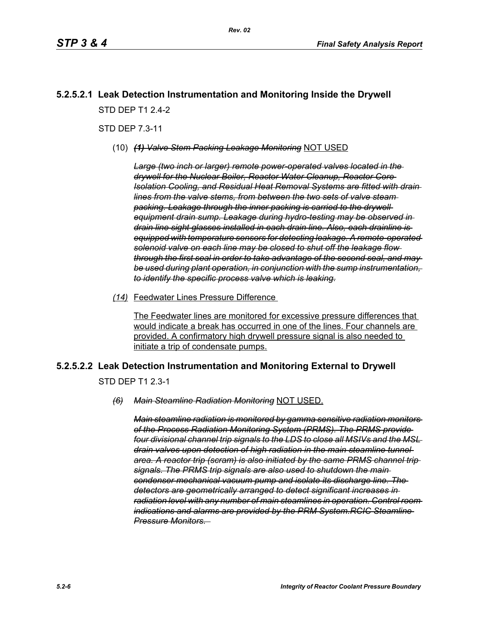# **5.2.5.2.1 Leak Detection Instrumentation and Monitoring Inside the Drywell** STD DFP T1 2 4-2

STD DEP 7.3-11

(10) *(1) Valve Stem Packing Leakage Monitoring* NOT USED

*Large (two inch or larger) remote power-operated valves located in the drywell for the Nuclear Boiler, Reactor Water Cleanup, Reactor Core Isolation Cooling, and Residual Heat Removal Systems are fitted with drain lines from the valve stems, from between the two sets of valve steam packing. Leakage through the inner packing is carried to the drywell equipment drain sump. Leakage during hydro-testing may be observed in drain line sight glasses installed in each drain line. Also, each drainline is equipped with temperature sensors for detecting leakage. A remote-operated solenoid valve on each line may be closed to shut off the leakage flow through the first seal in order to take advantage of the second seal, and may be used during plant operation, in conjunction with the sump instrumentation, to identify the specific process valve which is leaking.*

*(14)* Feedwater Lines Pressure Difference

The Feedwater lines are monitored for excessive pressure differences that would indicate a break has occurred in one of the lines. Four channels are provided. A confirmatory high drywell pressure signal is also needed to initiate a trip of condensate pumps.

# **5.2.5.2.2 Leak Detection Instrumentation and Monitoring External to Drywell**

STD DEP T1 2.3-1

#### *(6) Main Steamline Radiation Monitoring* NOT USED.

*Main steamline radiation is monitored by gamma sensitive radiation monitors of the Process Radiation Monitoring System (PRMS). The PRMS provide four divisional channel trip signals to the LDS to close all MSIVs and the MSL drain valves upon detection of high radiation in the main steamline tunnel area. A reactor trip (scram) is also initiated by the same PRMS channel trip signals. The PRMS trip signals are also used to shutdown the main condenser mechanical vacuum pump and isolate its discharge line. The detectors are geometrically arranged to detect significant increases in radiation level with any number of main steamlines in operation. Control room indications and alarms are provided by the PRM System.RCIC Steamline Pressure Monitors.*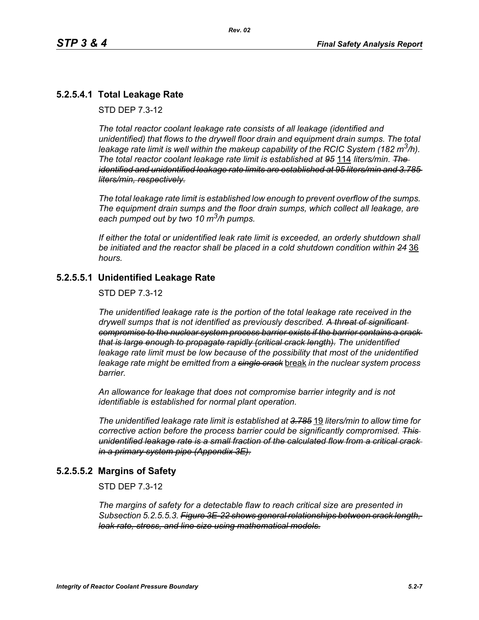# **5.2.5.4.1 Total Leakage Rate**

STD DEP 7.3-12

*The total reactor coolant leakage rate consists of all leakage (identified and unidentified) that flows to the drywell floor drain and equipment drain sumps. The total leakage rate limit is well within the makeup capability of the RCIC System (182 m3/h). The total reactor coolant leakage rate limit is established at 95* 114 *liters/min. The identified and unidentified leakage rate limits are established at 95 liters/min and 3.785 liters/min, respectively.*

*The total leakage rate limit is established low enough to prevent overflow of the sumps. The equipment drain sumps and the floor drain sumps, which collect all leakage, are each pumped out by two 10 m3/h pumps.*

*If either the total or unidentified leak rate limit is exceeded, an orderly shutdown shall be initiated and the reactor shall be placed in a cold shutdown condition within 24* 36 *hours.*

### **5.2.5.5.1 Unidentified Leakage Rate**

STD DEP 7.3-12

*The unidentified leakage rate is the portion of the total leakage rate received in the drywell sumps that is not identified as previously described. A threat of significant compromise to the nuclear system process barrier exists if the barrier contains a crack that is large enough to propagate rapidly (critical crack length). The unidentified*  leakage rate limit must be low because of the possibility that most of the unidentified *leakage rate might be emitted from a single crack* break *in the nuclear system process barrier.*

*An allowance for leakage that does not compromise barrier integrity and is not identifiable is established for normal plant operation.*

*The unidentified leakage rate limit is established at 3.785* 19 *liters/min to allow time for corrective action before the process barrier could be significantly compromised. This unidentified leakage rate is a small fraction of the calculated flow from a critical crack in a primary system pipe (Appendix 3E).*

#### **5.2.5.5.2 Margins of Safety**

STD DEP 7.3-12

*The margins of safety for a detectable flaw to reach critical size are presented in Subsection 5.2.5.5.3. Figure 3E-22 shows general relationships between crack length, leak rate, stress, and line size using mathematical models.*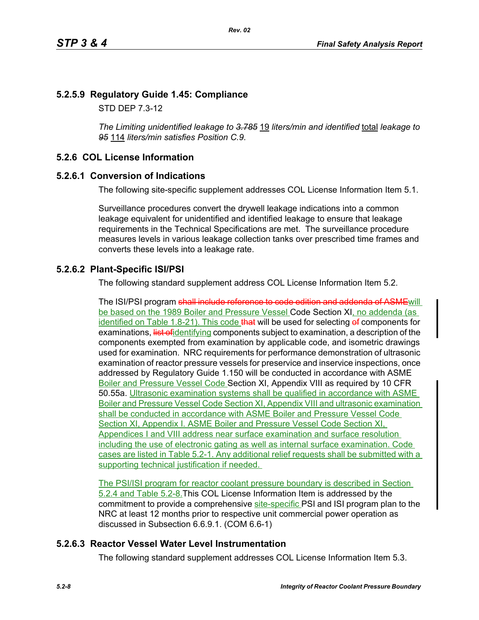# **5.2.5.9 Regulatory Guide 1.45: Compliance**

STD DEP 7.3-12

*The Limiting unidentified leakage to 3.785* 19 *liters/min and identified* total *leakage to 95* 114 *liters/min satisfies Position C.9.*

# **5.2.6 COL License Information**

# **5.2.6.1 Conversion of Indications**

The following site-specific supplement addresses COL License Information Item 5.1.

Surveillance procedures convert the drywell leakage indications into a common leakage equivalent for unidentified and identified leakage to ensure that leakage requirements in the Technical Specifications are met. The surveillance procedure measures levels in various leakage collection tanks over prescribed time frames and converts these levels into a leakage rate.

# **5.2.6.2 Plant-Specific ISI/PSI**

The following standard supplement address COL License Information Item 5.2.

The ISI/PSI program shall include reference to code edition and addenda of ASME will be based on the 1989 Boiler and Pressure Vessel Code Section XI, no addenda (as identified on Table 1.8-21). This code that will be used for selecting of components for examinations, list of identifying components subject to examination, a description of the components exempted from examination by applicable code, and isometric drawings used for examination. NRC requirements for performance demonstration of ultrasonic examination of reactor pressure vessels for preservice and inservice inspections, once addressed by Regulatory Guide 1.150 will be conducted in accordance with ASME Boiler and Pressure Vessel Code Section XI, Appendix VIII as required by 10 CFR 50.55a. Ultrasonic examination systems shall be qualified in accordance with ASME Boiler and Pressure Vessel Code Section XI, Appendix VIII and ultrasonic examination shall be conducted in accordance with ASME Boiler and Pressure Vessel Code Section XI, Appendix I. ASME Boiler and Pressure Vessel Code Section XI, Appendices I and VIII address near surface examination and surface resolution including the use of electronic gating as well as internal surface examination. Code cases are listed in Table 5.2-1. Any additional relief requests shall be submitted with a supporting technical justification if needed.

The PSI/ISI program for reactor coolant pressure boundary is described in Section 5.2.4 and Table 5.2-8.This COL License Information Item is addressed by the commitment to provide a comprehensive site-specific PSI and ISI program plan to the NRC at least 12 months prior to respective unit commercial power operation as discussed in Subsection 6.6.9.1. (COM 6.6-1)

# **5.2.6.3 Reactor Vessel Water Level Instrumentation**

The following standard supplement addresses COL License Information Item 5.3.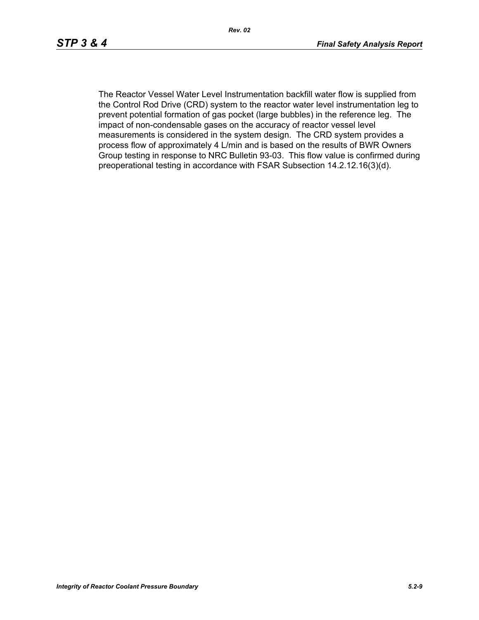The Reactor Vessel Water Level Instrumentation backfill water flow is supplied from the Control Rod Drive (CRD) system to the reactor water level instrumentation leg to prevent potential formation of gas pocket (large bubbles) in the reference leg. The impact of non-condensable gases on the accuracy of reactor vessel level measurements is considered in the system design. The CRD system provides a process flow of approximately 4 L/min and is based on the results of BWR Owners Group testing in response to NRC Bulletin 93-03. This flow value is confirmed during preoperational testing in accordance with FSAR Subsection 14.2.12.16(3)(d).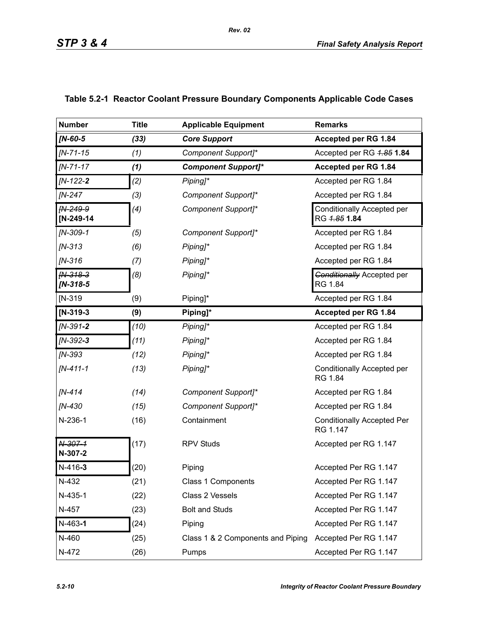| <b>Number</b>            | <b>Title</b> | <b>Applicable Equipment</b>       | <b>Remarks</b>                                |
|--------------------------|--------------|-----------------------------------|-----------------------------------------------|
| $IN-60-5$                | (33)         | <b>Core Support</b>               | Accepted per RG 1.84                          |
| $IN - 71 - 15$           | (1)          | Component Support]*               | Accepted per RG 4.85 1.84                     |
| $IN - 71 - 17$           | (1)          | <b>Component Support]*</b>        | Accepted per RG 1.84                          |
| $IN-122-2$               | (2)          | Piping]*                          | Accepted per RG 1.84                          |
| <b>IN-247</b>            | (3)          | Component Support]*               | Accepted per RG 1.84                          |
| FN-249-9<br>[N-249-14    | (4)          | Component Support]*               | Conditionally Accepted per<br>RG 4.85 1.84    |
| $IN-309-1$               | (5)          | Component Support]*               | Accepted per RG 1.84                          |
| $IN-313$                 | (6)          | Piping]*                          | Accepted per RG 1.84                          |
| $IN-316$                 | (7)          | Piping]*                          | Accepted per RG 1.84                          |
| $fN-318-3$<br>$IN-318-5$ | (8)          | Piping]*                          | <b>Conditionally Accepted per</b><br>RG 1.84  |
| $IN-319$                 | (9)          | Piping]*                          | Accepted per RG 1.84                          |
| $[N-319-3]$              | (9)          | Piping]*                          | Accepted per RG 1.84                          |
| $IN-391-2$               | (10)         | Piping]*                          | Accepted per RG 1.84                          |
| $IN-392-3$               | (11)         | Piping]*                          | Accepted per RG 1.84                          |
| [N-393                   | (12)         | Piping]*                          | Accepted per RG 1.84                          |
| $IN-411-1$               | (13)         | Piping]*                          | Conditionally Accepted per<br>RG 1.84         |
| $IN-414$                 | (14)         | Component Support]*               | Accepted per RG 1.84                          |
| [N-430                   | (15)         | Component Support]*               | Accepted per RG 1.84                          |
| N-236-1                  | (16)         | Containment                       | <b>Conditionally Accepted Per</b><br>RG 1.147 |
| N-307-1<br>N-307-2       | (17)         | <b>RPV Studs</b>                  | Accepted per RG 1.147                         |
| $N-416-3$                | (20)         | Piping                            | Accepted Per RG 1.147                         |
| N-432                    | (21)         | Class 1 Components                | Accepted Per RG 1.147                         |
| N-435-1                  | (22)         | Class 2 Vessels                   | Accepted Per RG 1.147                         |
| N-457                    | (23)         | <b>Bolt and Studs</b>             | Accepted Per RG 1.147                         |
| $N-463-1$                | (24)         | Piping                            | Accepted Per RG 1.147                         |
| N-460                    | (25)         | Class 1 & 2 Components and Piping | Accepted Per RG 1.147                         |
| N-472                    | (26)         | Pumps                             | Accepted Per RG 1.147                         |

# **Table 5.2-1 Reactor Coolant Pressure Boundary Components Applicable Code Cases**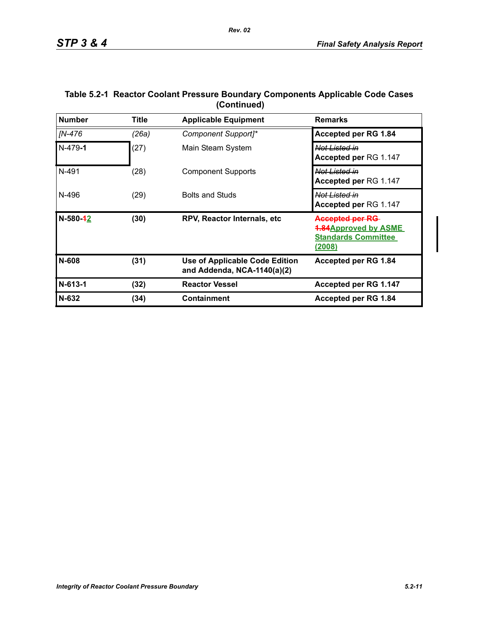| <b>Number</b> | Title | <b>Remarks</b>                                                |                                                                                                      |
|---------------|-------|---------------------------------------------------------------|------------------------------------------------------------------------------------------------------|
| IN-476        | (26a) | Component Support]*                                           | <b>Accepted per RG 1.84</b>                                                                          |
| $N-479-1$     | (27)  | Main Steam System                                             | <del>Not Listed in</del><br><b>Accepted per RG 1.147</b>                                             |
| N-491         | (28)  | <b>Component Supports</b>                                     | <del>Not Listed in</del><br><b>Accepted per RG 1.147</b>                                             |
| N-496         | (29)  | <b>Bolts and Studs</b>                                        | <del>Not Listed in</del><br>Accepted per RG 1.147                                                    |
| N-580-42      | (30)  | RPV, Reactor Internals, etc.                                  | <b>Accepted per RG</b><br><b>4.84Approved by ASME</b><br><b>Standards Committee</b><br><u>(2008)</u> |
| N-608         | (31)  | Use of Applicable Code Edition<br>and Addenda, NCA-1140(a)(2) | Accepted per RG 1.84                                                                                 |
| $N-613-1$     | (32)  | <b>Reactor Vessel</b>                                         | Accepted per RG 1.147                                                                                |
| $N-632$       | (34)  | Containment                                                   | Accepted per RG 1.84                                                                                 |

### **Table 5.2-1 Reactor Coolant Pressure Boundary Components Applicable Code Cases (Continued)**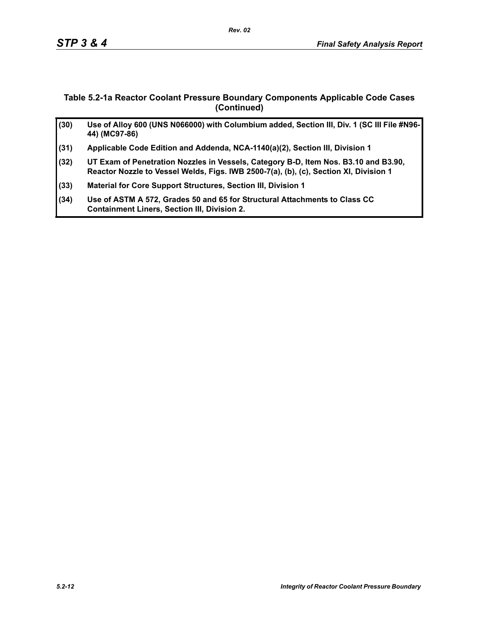### **Table 5.2-1a Reactor Coolant Pressure Boundary Components Applicable Code Cases (Continued)**

| (30) | Use of Alloy 600 (UNS N066000) with Columbium added, Section III, Div. 1 (SC III File #N96-<br>44) (MC97-86)                                                                 |
|------|------------------------------------------------------------------------------------------------------------------------------------------------------------------------------|
| (31) | Applicable Code Edition and Addenda, NCA-1140(a)(2), Section III, Division 1                                                                                                 |
| (32) | UT Exam of Penetration Nozzles in Vessels, Category B-D, Item Nos. B3.10 and B3.90,<br>Reactor Nozzle to Vessel Welds, Figs. IWB 2500-7(a), (b), (c), Section XI, Division 1 |
| (33) | Material for Core Support Structures, Section III, Division 1                                                                                                                |
| (34) | Use of ASTM A 572, Grades 50 and 65 for Structural Attachments to Class CC<br><b>Containment Liners, Section III, Division 2.</b>                                            |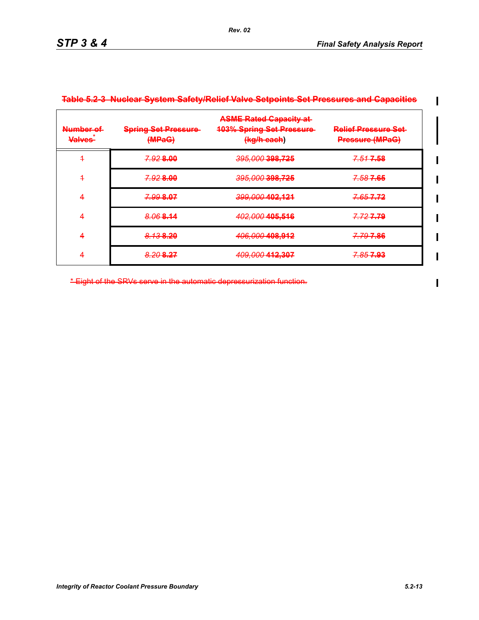$\blacksquare$ 

 $\blacksquare$ 

| Number of<br><b>Valves</b> | <b>Spring Set Pressure-</b><br>(MPaG) | <b>ASME Rated Capacity at-</b><br><b>103% Spring Set Pressure</b><br>(kg/h each) | <b>Relief Pressure Set-</b><br><b>Pressure (MPaG)</b> |
|----------------------------|---------------------------------------|----------------------------------------------------------------------------------|-------------------------------------------------------|
| 4                          | 7.928.00                              | 395,000 398,725                                                                  | 7.517.58                                              |
| 4                          | 7.928.00                              | 395,000 398,725                                                                  | 7.587.65                                              |
| 4                          | 7.99 8.07                             | 399,000 402,121                                                                  | 7.657.72                                              |
| 4                          | 8.068.14                              | 402,000 405,516                                                                  | 7.727.79                                              |
| 4                          | 8.138.20                              | 406,000 408,912                                                                  | <del>7.79 7.86</del>                                  |
|                            | 8.20 8.27                             | 409,000 412,307                                                                  | <del>7.85 7.93</del>                                  |

#### **Table 5.2-3 Nuclear System Safety/Relief Valve Setpoints Set Pressures and Capacities**

*Rev. 02*

\* Eight of the SRVs serve in the automatic depressurization function.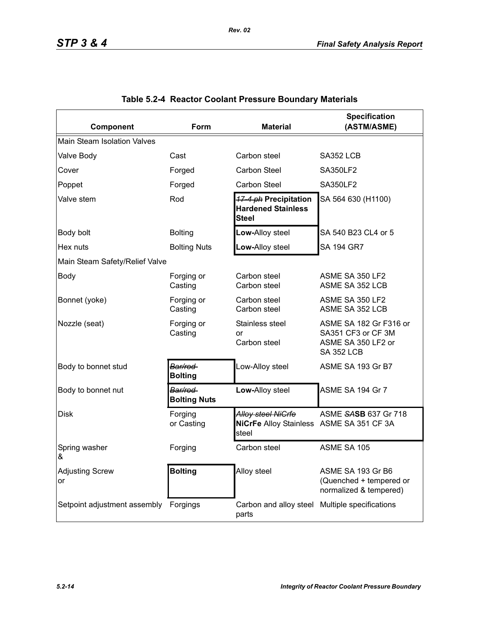| Component                          | Form                           | <b>Specification</b><br>(ASTM/ASME)<br><b>Material</b>                  |                                                                                         |  |  |  |  |
|------------------------------------|--------------------------------|-------------------------------------------------------------------------|-----------------------------------------------------------------------------------------|--|--|--|--|
| <b>Main Steam Isolation Valves</b> |                                |                                                                         |                                                                                         |  |  |  |  |
| Valve Body                         | Cast                           | Carbon steel                                                            | SA352 LCB                                                                               |  |  |  |  |
| Cover                              | Forged                         | <b>Carbon Steel</b>                                                     | <b>SA350LF2</b>                                                                         |  |  |  |  |
| Poppet                             | Forged                         | <b>Carbon Steel</b>                                                     | <b>SA350LF2</b>                                                                         |  |  |  |  |
| Valve stem                         | Rod                            | 17-4 ph Precipitation<br><b>Hardened Stainless</b><br><b>Steel</b>      | SA 564 630 (H1100)                                                                      |  |  |  |  |
| Body bolt                          | <b>Bolting</b>                 | Low-Alloy steel                                                         | SA 540 B23 CL4 or 5                                                                     |  |  |  |  |
| Hex nuts                           | <b>Bolting Nuts</b>            | Low-Alloy steel                                                         | <b>SA 194 GR7</b>                                                                       |  |  |  |  |
| Main Steam Safety/Relief Valve     |                                |                                                                         |                                                                                         |  |  |  |  |
| <b>Body</b>                        | Forging or<br>Casting          | Carbon steel<br>Carbon steel                                            | ASME SA 350 LF2<br>ASME SA 352 LCB                                                      |  |  |  |  |
| Bonnet (yoke)                      | Forging or<br>Casting          | Carbon steel<br>Carbon steel                                            | ASME SA 350 LF2<br>ASME SA 352 LCB                                                      |  |  |  |  |
| Nozzle (seat)                      | Forging or<br>Casting          | Stainless steel<br>or<br>Carbon steel                                   | ASME SA 182 Gr F316 or<br>SA351 CF3 or CF 3M<br>ASME SA 350 LF2 or<br><b>SA 352 LCB</b> |  |  |  |  |
| Body to bonnet stud                | Bar/rod<br><b>Bolting</b>      | Low-Alloy steel                                                         | ASME SA 193 Gr B7                                                                       |  |  |  |  |
| Body to bonnet nut                 | Bar/rod<br><b>Bolting Nuts</b> | Low-Alloy steel                                                         | ASME SA 194 Gr 7                                                                        |  |  |  |  |
| <b>Disk</b>                        | Forging<br>or Casting          | Alloy steel NiCrfe<br>NiCrFe Alloy Stainless ASME SA 351 CF 3A<br>steel | ASME SASB 637 Gr 718                                                                    |  |  |  |  |
| Spring washer<br>&                 | Forging                        | Carbon steel                                                            | ASME SA 105                                                                             |  |  |  |  |
| <b>Adjusting Screw</b><br>or       | <b>Bolting</b>                 | Alloy steel                                                             | ASME SA 193 Gr B6<br>(Quenched + tempered or<br>normalized & tempered)                  |  |  |  |  |
| Setpoint adjustment assembly       | Forgings                       | Carbon and alloy steel<br>parts                                         | Multiple specifications                                                                 |  |  |  |  |

# **Table 5.2-4 Reactor Coolant Pressure Boundary Materials**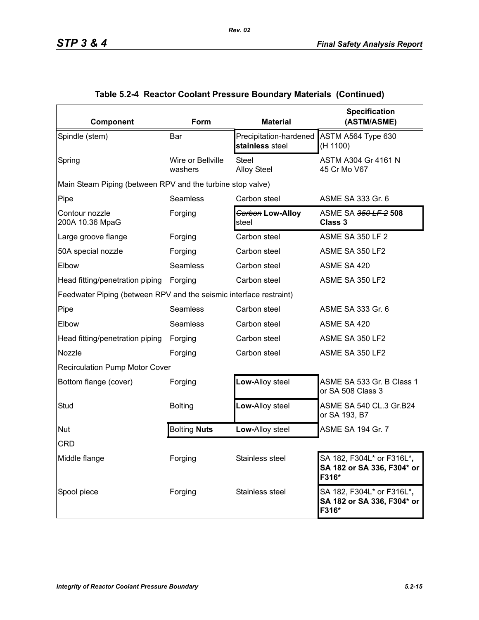| Component                                                          | Form                         | <b>Material</b>                           | <b>Specification</b><br>(ASTM/ASME)                                              |
|--------------------------------------------------------------------|------------------------------|-------------------------------------------|----------------------------------------------------------------------------------|
| Spindle (stem)                                                     | Bar                          | Precipitation-hardened<br>stainless steel | ASTM A564 Type 630<br>(H 1100)                                                   |
| Spring                                                             | Wire or Bellville<br>washers | <b>Steel</b><br><b>Alloy Steel</b>        | ASTM A304 Gr 4161 N<br>45 Cr Mo V67                                              |
| Main Steam Piping (between RPV and the turbine stop valve)         |                              |                                           |                                                                                  |
| Pipe                                                               | Seamless                     | Carbon steel                              | ASME SA 333 Gr. 6                                                                |
| Contour nozzle<br>200A 10.36 MpaG                                  | Forging                      | Garbon Low-Alloy<br>steel                 | ASME SA 350 LF 2 508<br><b>Class 3</b>                                           |
| Large groove flange                                                | Forging                      | Carbon steel                              | <b>ASME SA 350 LF 2</b>                                                          |
| 50A special nozzle                                                 | Forging                      | Carbon steel                              | ASME SA 350 LF2                                                                  |
| Elbow                                                              | Seamless                     | Carbon steel                              | ASME SA 420                                                                      |
| Head fitting/penetration piping                                    | Forging                      | Carbon steel                              | ASME SA 350 LF2                                                                  |
| Feedwater Piping (between RPV and the seismic interface restraint) |                              |                                           |                                                                                  |
| Pipe                                                               | <b>Seamless</b>              | Carbon steel                              | ASME SA 333 Gr. 6                                                                |
| Elbow                                                              | <b>Seamless</b>              | Carbon steel                              | ASME SA 420                                                                      |
| Head fitting/penetration piping                                    | Forging                      | Carbon steel                              | ASME SA 350 LF2                                                                  |
| Nozzle                                                             | Forging                      | Carbon steel                              | ASME SA 350 LF2                                                                  |
| <b>Recirculation Pump Motor Cover</b>                              |                              |                                           |                                                                                  |
| Bottom flange (cover)                                              | Forging                      | Low-Alloy steel                           | ASME SA 533 Gr. B Class 1<br>or SA 508 Class 3                                   |
| Stud                                                               | <b>Bolting</b>               | Low-Alloy steel                           | ASME SA 540 CL.3 Gr.B24<br>or SA 193, B7                                         |
| Nut                                                                | <b>Bolting Nuts</b>          | Low-Alloy steel                           | ASME SA 194 Gr. 7                                                                |
| <b>CRD</b>                                                         |                              |                                           |                                                                                  |
| Middle flange                                                      | Forging                      | Stainless steel                           | SA 182, F304L* or <b>F</b> 316L* <b>,</b><br>SA 182 or SA 336, F304* or<br>F316* |
| Spool piece                                                        | Forging                      | Stainless steel                           | SA 182, F304L* or F316L*,<br>SA 182 or SA 336, F304* or<br>F316*                 |

# **Table 5.2-4 Reactor Coolant Pressure Boundary Materials (Continued)**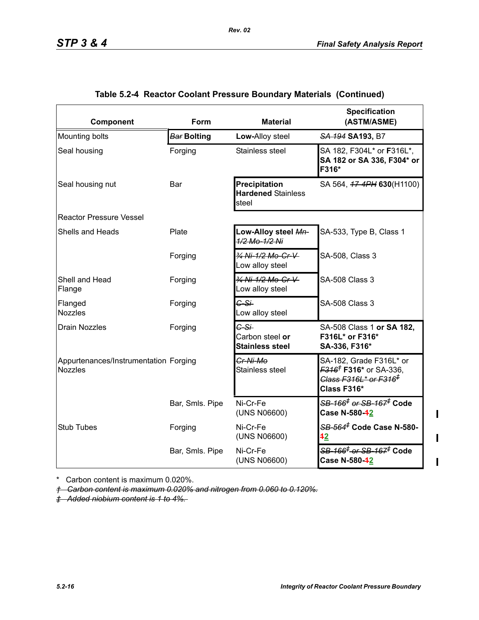| Component                                               | Form               | <b>Material</b>                                     | <b>Specification</b><br>(ASTM/ASME)                                                                                                |
|---------------------------------------------------------|--------------------|-----------------------------------------------------|------------------------------------------------------------------------------------------------------------------------------------|
| Mounting bolts                                          | <b>Bar Bolting</b> | Low-Alloy steel                                     | SA 194 SA 193, B7                                                                                                                  |
| Seal housing                                            | Forging            | Stainless steel                                     | SA 182, F304L* or F316L*,<br>SA 182 or SA 336, F304* or<br>F316*                                                                   |
| Seal housing nut                                        | Bar                | Precipitation<br><b>Hardened Stainless</b><br>steel | SA 564, 47-4PH 630(H1100)                                                                                                          |
| <b>Reactor Pressure Vessel</b>                          |                    |                                                     |                                                                                                                                    |
| <b>Shells and Heads</b>                                 | Plate              | Low-Alloy steel Mn-<br>1/2 Mo-1/2 Ni                | SA-533, Type B, Class 1                                                                                                            |
|                                                         | Forging            | 3/4 Ni-1/2 Mo-Cr-V<br>Low alloy steel               | SA-508, Class 3                                                                                                                    |
| Shell and Head<br>Flange                                | Forging            | 3/4 Ni-1/2 Mo-Cr-V<br>Low alloy steel               | <b>SA-508 Class 3</b>                                                                                                              |
| Flanged<br><b>Nozzles</b>                               | Forging            | $G-S+$<br>Low alloy steel                           | SA-508 Class 3                                                                                                                     |
| <b>Drain Nozzles</b>                                    | Forging            | $C-S+$<br>Carbon steel or<br><b>Stainless steel</b> | SA-508 Class 1 or SA 182,<br>F316L* or F316*<br>SA-336, F316*                                                                      |
| Appurtenances/Instrumentation Forging<br><b>Nozzles</b> |                    | Cr-Ni-Mo<br>Stainless steel                         | SA-182, Grade F316L* or<br><del><i>F316<sup>†</sup> F316*</i> or SA-336,</del><br>Class F316L* or F316 <sup>‡</sup><br>Class F316* |
|                                                         | Bar, Smls. Pipe    | Ni-Cr-Fe<br>(UNS N06600)                            | <del>SB-166<sup>‡</sup> or SB-167<sup>≢</sup> Code</del><br>Case N-580-42                                                          |
| <b>Stub Tubes</b>                                       | Forging            | Ni-Cr-Fe<br>(UNS N06600)                            | 42                                                                                                                                 |
|                                                         | Bar, Smls. Pipe    | Ni-Cr-Fe<br>(UNS N06600)                            | <del>SB-166<sup>‡</sup> or SB-167<sup>≢</sup> Code</del><br>Case N-580-42                                                          |

# **Table 5.2-4 Reactor Coolant Pressure Boundary Materials (Continued)**

*Rev. 02*

\* Carbon content is maximum 0.020%.

*† Carbon content is maximum 0.020% and nitrogen from 0.060 to 0.120%.*

*‡ Added niobium content is 1 to 4%.* 

 $\mathbf{I}$ 

 $\mathbf I$ 

 $\mathbf I$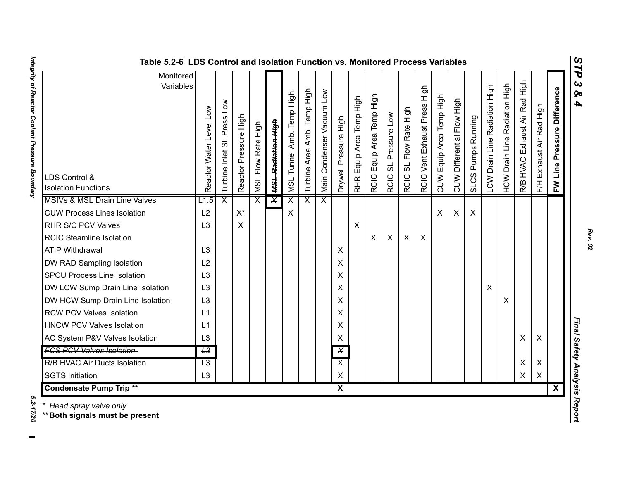| S<br>님 |
|--------|
| دە     |
| ⊗      |
| 4      |
|        |
|        |
|        |
|        |
|        |

| Monitored                                                              |                         |                            |                       |                              |                               |                           |                             |                           |                         |                               |                           |                                  |                                    |                              |                          |                            |                    |                               |                               |                                  |                          |                             |
|------------------------------------------------------------------------|-------------------------|----------------------------|-----------------------|------------------------------|-------------------------------|---------------------------|-----------------------------|---------------------------|-------------------------|-------------------------------|---------------------------|----------------------------------|------------------------------------|------------------------------|--------------------------|----------------------------|--------------------|-------------------------------|-------------------------------|----------------------------------|--------------------------|-----------------------------|
| Variables<br>LDS Control &                                             | Reactor Water Level Low | Turbine Inlet SL Press Low | Reactor Pressure High | Flow Rate High<br><b>NSL</b> | <del>MSL Radiation High</del> | MSL Tunnel Amb. Temp High | Turbine Area Amb. Temp High | Main Condenser Vacuum Low | Drywell Pressure High   | Equip Area Temp High<br>RHR I | RCIC Equip Area Temp High | Pressure Low<br>ದ<br><b>RCIC</b> | Flow Rate High<br>ಕ<br><b>RCIC</b> | RCIC Vent Exhaust Press High | CUW Equip Area Temp High | CUW Differential Flow High | SLCS Pumps Running | LCW Drain Line Radiation High | HCW Drain Line Radiation High | Exhaust Air Rad High<br>R/B HVAC | F/H Exhaust Air Rad High | FW Line Pressure Difference |
| <b>Isolation Functions</b><br><b>MSIVs &amp; MSL Drain Line Valves</b> |                         | $\overline{\mathsf{x}}$    |                       | $\overline{\mathsf{x}}$      | $\overline{\mathsf{x}}$       | $\overline{\mathsf{x}}$   |                             | $\overline{\mathsf{x}}$   |                         |                               |                           |                                  |                                    |                              |                          |                            |                    |                               |                               |                                  |                          |                             |
| <b>CUW Process Lines Isolation</b>                                     | L1.5<br>L2              |                            | $X^*$                 |                              |                               | X                         | X                           |                           |                         |                               |                           |                                  |                                    |                              | $\times$                 | X                          | X                  |                               |                               |                                  |                          |                             |
| <b>RHR S/C PCV Valves</b>                                              | L3                      |                            | X                     |                              |                               |                           |                             |                           |                         | X                             |                           |                                  |                                    |                              |                          |                            |                    |                               |                               |                                  |                          |                             |
| <b>RCIC Steamline Isolation</b>                                        |                         |                            |                       |                              |                               |                           |                             |                           |                         |                               | $\boldsymbol{\mathsf{X}}$ | $\boldsymbol{\mathsf{X}}$        | X                                  | X                            |                          |                            |                    |                               |                               |                                  |                          |                             |
|                                                                        |                         |                            |                       |                              |                               |                           |                             |                           |                         |                               |                           |                                  |                                    |                              |                          |                            |                    |                               |                               |                                  |                          |                             |
| <b>ATIP Withdrawal</b>                                                 | L <sub>3</sub>          |                            |                       |                              |                               |                           |                             |                           | X                       |                               |                           |                                  |                                    |                              |                          |                            |                    |                               |                               |                                  |                          |                             |
| DW RAD Sampling Isolation                                              | L2                      |                            |                       |                              |                               |                           |                             |                           | X                       |                               |                           |                                  |                                    |                              |                          |                            |                    |                               |                               |                                  |                          |                             |
| <b>SPCU Process Line Isolation</b>                                     | L3                      |                            |                       |                              |                               |                           |                             |                           | X                       |                               |                           |                                  |                                    |                              |                          |                            |                    |                               |                               |                                  |                          |                             |
| DW LCW Sump Drain Line Isolation                                       | L <sub>3</sub>          |                            |                       |                              |                               |                           |                             |                           | X                       |                               |                           |                                  |                                    |                              |                          |                            |                    | X                             |                               |                                  |                          |                             |
| DW HCW Sump Drain Line Isolation                                       | L <sub>3</sub>          |                            |                       |                              |                               |                           |                             |                           | X                       |                               |                           |                                  |                                    |                              |                          |                            |                    |                               | X                             |                                  |                          |                             |
| <b>RCW PCV Valves Isolation</b>                                        | L1                      |                            |                       |                              |                               |                           |                             |                           | Χ                       |                               |                           |                                  |                                    |                              |                          |                            |                    |                               |                               |                                  |                          |                             |
| <b>HNCW PCV Valves Isolation</b>                                       | L1                      |                            |                       |                              |                               |                           |                             |                           | X                       |                               |                           |                                  |                                    |                              |                          |                            |                    |                               |                               |                                  |                          |                             |
| AC System P&V Valves Isolation                                         | L <sub>3</sub>          |                            |                       |                              |                               |                           |                             |                           | X                       |                               |                           |                                  |                                    |                              |                          |                            |                    |                               |                               | Χ                                | X                        |                             |
| <b>FCS PCV Valves Isolation-</b>                                       | $\overline{L^3}$        |                            |                       |                              |                               |                           |                             |                           | $\overline{\mathsf{X}}$ |                               |                           |                                  |                                    |                              |                          |                            |                    |                               |                               |                                  |                          |                             |
| <b>R/B HVAC Air Ducts Isolation</b>                                    | $\overline{L3}$         |                            |                       |                              |                               |                           |                             |                           | $\overline{\mathsf{x}}$ |                               |                           |                                  |                                    |                              |                          |                            |                    |                               |                               | X                                | X                        |                             |
| <b>SGTS Initiation</b>                                                 | L <sub>3</sub>          |                            |                       |                              |                               |                           |                             |                           | X                       |                               |                           |                                  |                                    |                              |                          |                            |                    |                               |                               | $\pmb{\times}$                   | X                        |                             |
| $\overline{\mathsf{x}}$<br><b>Condensate Pump Trip **</b>              |                         |                            |                       |                              |                               |                           |                             |                           | $\overline{\mathbf{X}}$ |                               |                           |                                  |                                    |                              |                          |                            |                    |                               |                               |                                  |                          |                             |

#### **Table 5.2-6 LDS Control and Isolation Function vs. Monitored Process Variables**

\* *Head spray valve only*

\*\***Both signals must be present** 

Integrity of Reactor Coolant Pressure Boundary *Integrity of Reactor Coolant Pressure Boundary 5.2-17/20*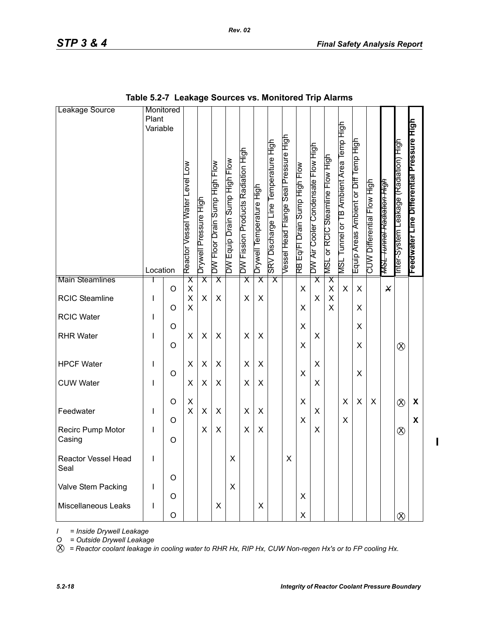| Leakage Source                            | Monitored<br>Plant<br>Variable<br>Location |              | Reactor Vessel Water Level Low | Drywell Pressure High   | DW Floor Drain Sump High Flow | DW Equip Drain Sump High Flow | DW Fission Products Radiation High | Drywell Temperature High | SRV Discharge Line Temperature High | Vessel Head Flange Seal Pressure High | RB Eq/Fl Drain Sump High Flow | DW Air Cooler Condensate Flow High | MSL or RCIC Steamline Flow High | MSL Tunnel or TB Ambient Area Temp High | Equip Areas Ambient or Diff Temp High | CUW Differential Flow High | <del>MSL Tunnel Radiation High</del> | nter-System Leakage (Radiation) High | Feedwater Line Differential Pressure High |
|-------------------------------------------|--------------------------------------------|--------------|--------------------------------|-------------------------|-------------------------------|-------------------------------|------------------------------------|--------------------------|-------------------------------------|---------------------------------------|-------------------------------|------------------------------------|---------------------------------|-----------------------------------------|---------------------------------------|----------------------------|--------------------------------------|--------------------------------------|-------------------------------------------|
| <b>Main Steamlines</b>                    |                                            |              | $\overline{\mathsf{x}}$        | $\overline{\mathsf{x}}$ | $\overline{\mathsf{x}}$       |                               | $\overline{\mathsf{x}}$            | $\overline{\mathsf{x}}$  | $\overline{\mathsf{x}}$             |                                       |                               | $\overline{\textsf{x}}$            | $\overline{\mathsf{x}}$         |                                         |                                       |                            |                                      |                                      |                                           |
| <b>RCIC Steamline</b>                     | L                                          | O<br>O       | X<br>Χ<br>X                    | X                       | X                             |                               | X                                  | X                        |                                     |                                       | X<br>X                        | $\mathsf X$                        | X<br>X<br>X                     | X                                       | X<br>X                                |                            | $\pmb{\times}$                       |                                      |                                           |
| <b>RCIC Water</b>                         | $\mathsf{I}$                               |              |                                |                         |                               |                               |                                    |                          |                                     |                                       | X                             |                                    |                                 |                                         | X                                     |                            |                                      |                                      |                                           |
| <b>RHR Water</b>                          | L                                          | O<br>$\circ$ | X                              | X                       | X                             |                               | X                                  | X                        |                                     |                                       | X                             | X                                  |                                 |                                         | Χ                                     |                            |                                      | $\otimes$                            |                                           |
| <b>HPCF Water</b>                         | L                                          |              | X                              | X                       | X                             |                               | X                                  | X                        |                                     |                                       |                               | X                                  |                                 |                                         |                                       |                            |                                      |                                      |                                           |
| <b>CUW Water</b>                          | $\mathsf{I}$                               | $\circ$      | X                              | X                       | X                             |                               | X                                  | X                        |                                     |                                       | X                             | X                                  |                                 |                                         | Χ                                     |                            |                                      |                                      |                                           |
| Feedwater                                 | L                                          | O            | X<br>X                         | X                       | X                             |                               | X                                  | X                        |                                     |                                       | X                             | X                                  |                                 | X                                       | X                                     | X                          |                                      | $\otimes$                            | X                                         |
| Recirc Pump Motor<br>Casing               | L                                          | O<br>O       |                                | X                       | X                             |                               | X                                  | X                        |                                     |                                       | X                             | X                                  |                                 | X                                       |                                       |                            |                                      | $\otimes$                            | X                                         |
| <b>Reactor Vessel Head</b><br>Seal        | I                                          |              |                                |                         |                               | X                             |                                    |                          |                                     | X                                     |                               |                                    |                                 |                                         |                                       |                            |                                      |                                      |                                           |
| Valve Stem Packing<br>Miscellaneous Leaks | Т<br>L                                     | O<br>O<br>O  |                                |                         | X                             | X                             |                                    | X                        |                                     |                                       | X<br>X                        |                                    |                                 |                                         |                                       |                            |                                      | $\otimes$                            |                                           |

| Table 5.2-7 Leakage Sources vs. Monitored Trip Alarms |  |  |  |
|-------------------------------------------------------|--|--|--|
|-------------------------------------------------------|--|--|--|

*I = Inside Drywell Leakage*

*O = Outside Drywell Leakage*

X *= Reactor coolant leakage in cooling water to RHR Hx, RIP Hx, CUW Non-regen Hx's or to FP cooling Hx.*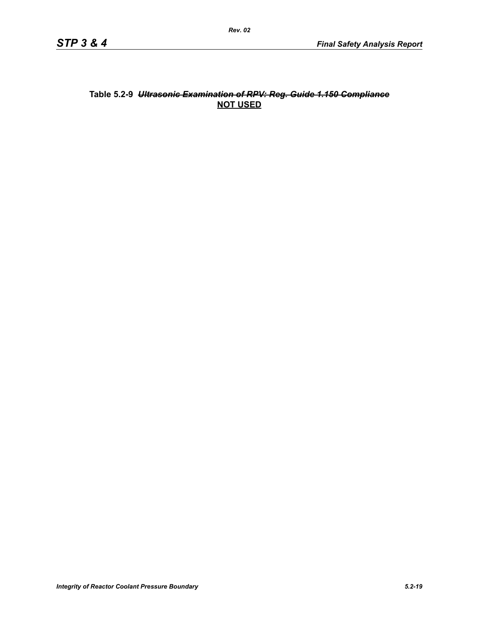### **Table 5.2-9** *Ultrasonic Examination of RPV: Reg. Guide 1.150 Compliance* **NOT USED**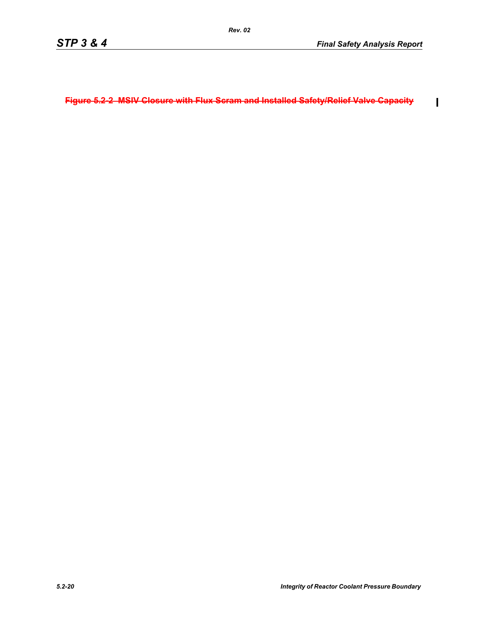$\overline{\mathbf{I}}$ 

**Figure 5.2-2 MSIV Closure with Flux Scram and Installed Safety/Relief Valve Capacity**

*Rev. 02*